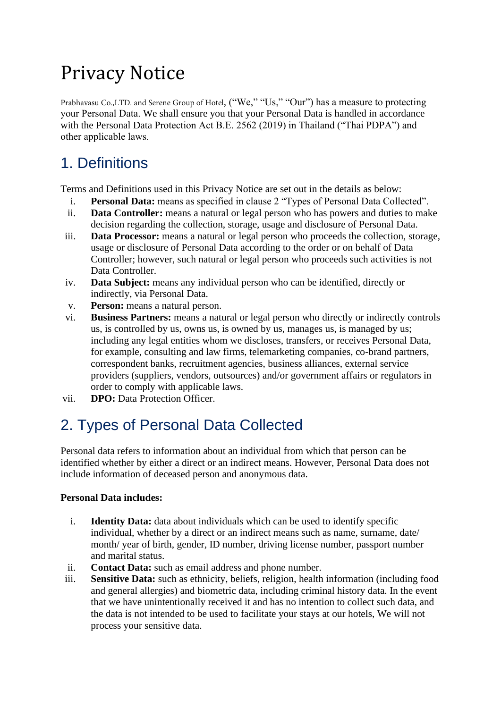# Privacy Notice

Prabhavasu Co.,LTD. and Serene Group of Hotel, ("We," "Us," "Our") has a measure to protecting your Personal Data. We shall ensure you that your Personal Data is handled in accordance with the Personal Data Protection Act B.E. 2562 (2019) in Thailand ("Thai PDPA") and other applicable laws.

# 1. Definitions

Terms and Definitions used in this Privacy Notice are set out in the details as below:

- i. **Personal Data:** means as specified in clause 2 "Types of Personal Data Collected".
- ii. **Data Controller:** means a natural or legal person who has powers and duties to make decision regarding the collection, storage, usage and disclosure of Personal Data.
- iii. **Data Processor:** means a natural or legal person who proceeds the collection, storage, usage or disclosure of Personal Data according to the order or on behalf of Data Controller; however, such natural or legal person who proceeds such activities is not Data Controller.
- iv. **Data Subject:** means any individual person who can be identified, directly or indirectly, via Personal Data.
- v. **Person:** means a natural person.
- vi. **Business Partners:** means a natural or legal person who directly or indirectly controls us, is controlled by us, owns us, is owned by us, manages us, is managed by us; including any legal entities whom we discloses, transfers, or receives Personal Data, for example, consulting and law firms, telemarketing companies, co-brand partners, correspondent banks, recruitment agencies, business alliances, external service providers (suppliers, vendors, outsources) and/or government affairs or regulators in order to comply with applicable laws.
- vii. **DPO:** Data Protection Officer.

# 2. Types of Personal Data Collected

Personal data refers to information about an individual from which that person can be identified whether by either a direct or an indirect means. However, Personal Data does not include information of deceased person and anonymous data.

#### **Personal Data includes:**

- i. **Identity Data:** data about individuals which can be used to identify specific individual, whether by a direct or an indirect means such as name, surname, date/ month/ year of birth, gender, ID number, driving license number, passport number and marital status.
- ii. **Contact Data:** such as email address and phone number.
- iii. **Sensitive Data:** such as ethnicity, beliefs, religion, health information (including food and general allergies) and biometric data, including criminal history data. In the event that we have unintentionally received it and has no intention to collect such data, and the data is not intended to be used to facilitate your stays at our hotels, We will not process your sensitive data.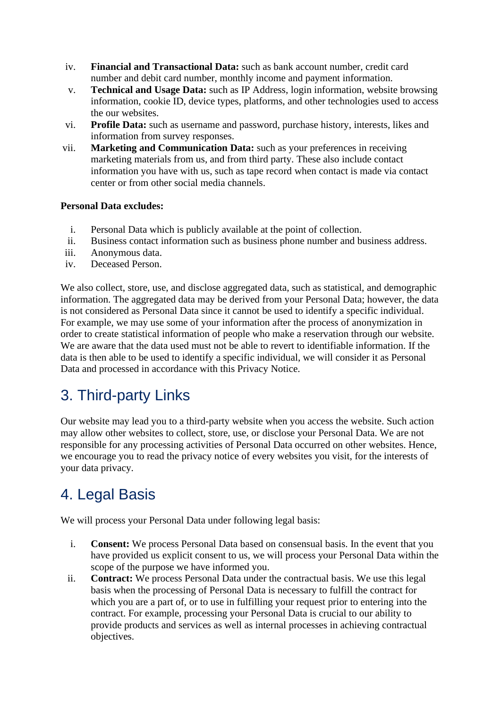- iv. **Financial and Transactional Data:** such as bank account number, credit card number and debit card number, monthly income and payment information.
- v. **Technical and Usage Data:** such as IP Address, login information, website browsing information, cookie ID, device types, platforms, and other technologies used to access the our websites.
- vi. **Profile Data:** such as username and password, purchase history, interests, likes and information from survey responses.
- vii. **Marketing and Communication Data:** such as your preferences in receiving marketing materials from us, and from third party. These also include contact information you have with us, such as tape record when contact is made via contact center or from other social media channels.

#### **Personal Data excludes:**

- i. Personal Data which is publicly available at the point of collection.
- ii. Business contact information such as business phone number and business address.
- iii. Anonymous data.
- iv. Deceased Person.

We also collect, store, use, and disclose aggregated data, such as statistical, and demographic information. The aggregated data may be derived from your Personal Data; however, the data is not considered as Personal Data since it cannot be used to identify a specific individual. For example, we may use some of your information after the process of anonymization in order to create statistical information of people who make a reservation through our website. We are aware that the data used must not be able to revert to identifiable information. If the data is then able to be used to identify a specific individual, we will consider it as Personal Data and processed in accordance with this Privacy Notice.

#### 3. Third-party Links

Our website may lead you to a third-party website when you access the website. Such action may allow other websites to collect, store, use, or disclose your Personal Data. We are not responsible for any processing activities of Personal Data occurred on other websites. Hence, we encourage you to read the privacy notice of every websites you visit, for the interests of your data privacy.

### 4. Legal Basis

We will process your Personal Data under following legal basis:

- i. **Consent:** We process Personal Data based on consensual basis. In the event that you have provided us explicit consent to us, we will process your Personal Data within the scope of the purpose we have informed you.
- ii. **Contract:** We process Personal Data under the contractual basis. We use this legal basis when the processing of Personal Data is necessary to fulfill the contract for which you are a part of, or to use in fulfilling your request prior to entering into the contract. For example, processing your Personal Data is crucial to our ability to provide products and services as well as internal processes in achieving contractual objectives.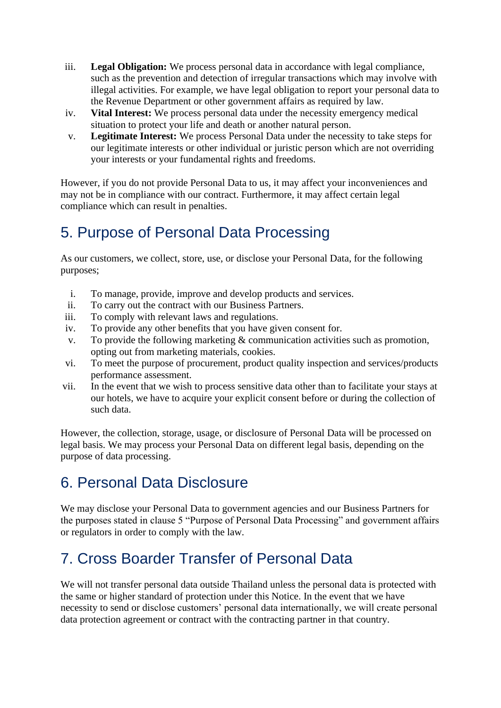- iii. **Legal Obligation:** We process personal data in accordance with legal compliance, such as the prevention and detection of irregular transactions which may involve with illegal activities. For example, we have legal obligation to report your personal data to the Revenue Department or other government affairs as required by law.
- iv. **Vital Interest:** We process personal data under the necessity emergency medical situation to protect your life and death or another natural person.
- v. **Legitimate Interest:** We process Personal Data under the necessity to take steps for our legitimate interests or other individual or juristic person which are not overriding your interests or your fundamental rights and freedoms.

However, if you do not provide Personal Data to us, it may affect your inconveniences and may not be in compliance with our contract. Furthermore, it may affect certain legal compliance which can result in penalties.

### 5. Purpose of Personal Data Processing

As our customers, we collect, store, use, or disclose your Personal Data, for the following purposes;

- i. To manage, provide, improve and develop products and services.
- ii. To carry out the contract with our Business Partners.
- iii. To comply with relevant laws and regulations.
- iv. To provide any other benefits that you have given consent for.
- v. To provide the following marketing & communication activities such as promotion, opting out from marketing materials, cookies.
- vi. To meet the purpose of procurement, product quality inspection and services/products performance assessment.
- vii. In the event that we wish to process sensitive data other than to facilitate your stays at our hotels, we have to acquire your explicit consent before or during the collection of such data.

However, the collection, storage, usage, or disclosure of Personal Data will be processed on legal basis. We may process your Personal Data on different legal basis, depending on the purpose of data processing.

#### 6. Personal Data Disclosure

We may disclose your Personal Data to government agencies and our Business Partners for the purposes stated in clause 5 "Purpose of Personal Data Processing" and government affairs or regulators in order to comply with the law.

# 7. Cross Boarder Transfer of Personal Data

We will not transfer personal data outside Thailand unless the personal data is protected with the same or higher standard of protection under this Notice. In the event that we have necessity to send or disclose customers' personal data internationally, we will create personal data protection agreement or contract with the contracting partner in that country.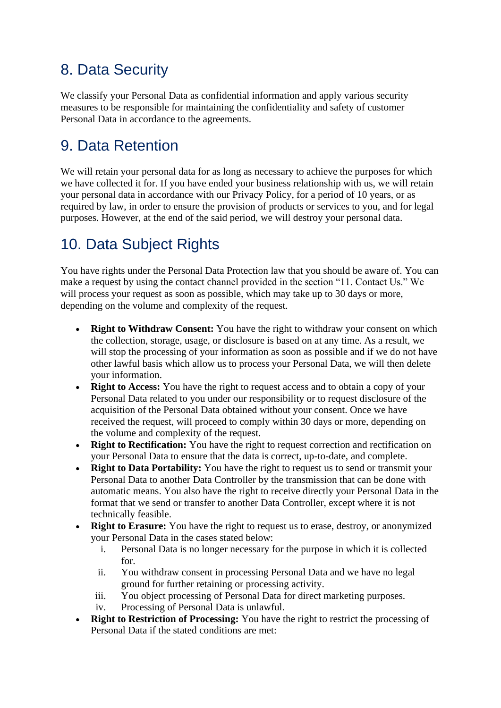### 8. Data Security

We classify your Personal Data as confidential information and apply various security measures to be responsible for maintaining the confidentiality and safety of customer Personal Data in accordance to the agreements.

#### 9. Data Retention

We will retain your personal data for as long as necessary to achieve the purposes for which we have collected it for. If you have ended your business relationship with us, we will retain your personal data in accordance with our Privacy Policy, for a period of 10 years, or as required by law, in order to ensure the provision of products or services to you, and for legal purposes. However, at the end of the said period, we will destroy your personal data.

### 10. Data Subject Rights

You have rights under the Personal Data Protection law that you should be aware of. You can make a request by using the contact channel provided in the section "11. Contact Us." We will process your request as soon as possible, which may take up to 30 days or more, depending on the volume and complexity of the request.

- **Right to Withdraw Consent:** You have the right to withdraw your consent on which the collection, storage, usage, or disclosure is based on at any time. As a result, we will stop the processing of your information as soon as possible and if we do not have other lawful basis which allow us to process your Personal Data, we will then delete your information.
- **Right to Access:** You have the right to request access and to obtain a copy of your Personal Data related to you under our responsibility or to request disclosure of the acquisition of the Personal Data obtained without your consent. Once we have received the request, will proceed to comply within 30 days or more, depending on the volume and complexity of the request.
- **Right to Rectification:** You have the right to request correction and rectification on your Personal Data to ensure that the data is correct, up-to-date, and complete.
- **Right to Data Portability:** You have the right to request us to send or transmit your Personal Data to another Data Controller by the transmission that can be done with automatic means. You also have the right to receive directly your Personal Data in the format that we send or transfer to another Data Controller, except where it is not technically feasible.
- **Right to Erasure:** You have the right to request us to erase, destroy, or anonymized your Personal Data in the cases stated below:
	- i. Personal Data is no longer necessary for the purpose in which it is collected for.
	- ii. You withdraw consent in processing Personal Data and we have no legal ground for further retaining or processing activity.
	- iii. You object processing of Personal Data for direct marketing purposes.
	- iv. Processing of Personal Data is unlawful.
- **Right to Restriction of Processing:** You have the right to restrict the processing of Personal Data if the stated conditions are met: